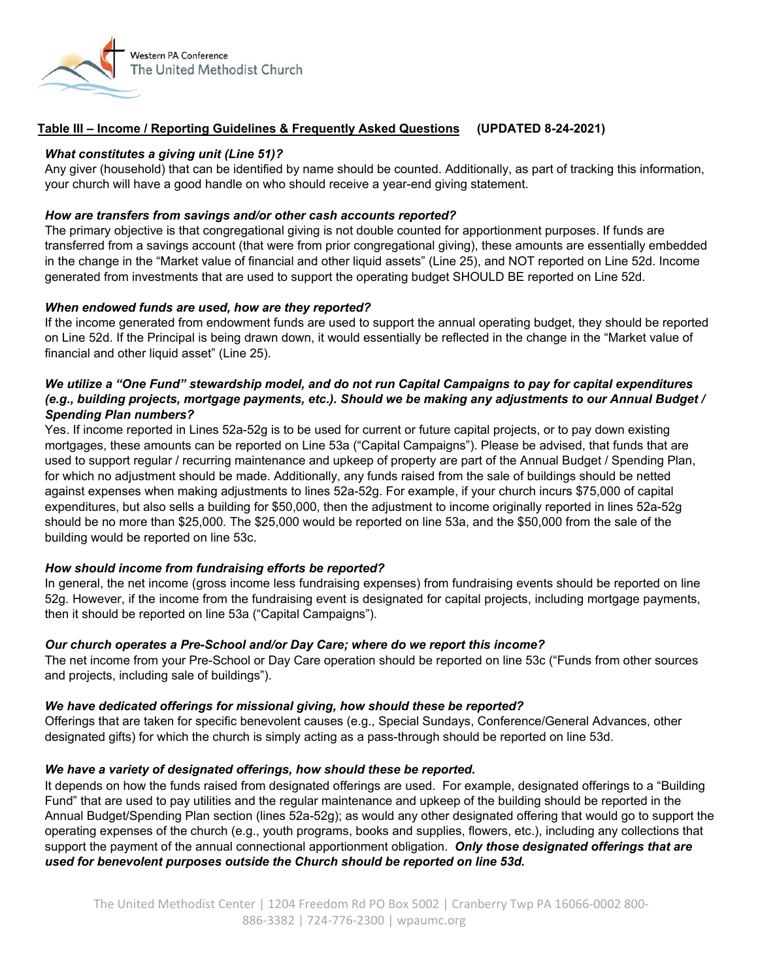

# **Table III – Income / Reporting Guidelines & Frequently Asked Questions (UPDATED 8-24-2021)**

### *What constitutes a giving unit (Line 51)?*

Any giver (household) that can be identified by name should be counted. Additionally, as part of tracking this information, your church will have a good handle on who should receive a year-end giving statement.

### *How are transfers from savings and/or other cash accounts reported?*

The primary objective is that congregational giving is not double counted for apportionment purposes. If funds are transferred from a savings account (that were from prior congregational giving), these amounts are essentially embedded in the change in the "Market value of financial and other liquid assets" (Line 25), and NOT reported on Line 52d. Income generated from investments that are used to support the operating budget SHOULD BE reported on Line 52d.

### *When endowed funds are used, how are they reported?*

If the income generated from endowment funds are used to support the annual operating budget, they should be reported on Line 52d. If the Principal is being drawn down, it would essentially be reflected in the change in the "Market value of financial and other liquid asset" (Line 25).

### *We utilize a "One Fund" stewardship model, and do not run Capital Campaigns to pay for capital expenditures (e.g., building projects, mortgage payments, etc.). Should we be making any adjustments to our Annual Budget / Spending Plan numbers?*

Yes. If income reported in Lines 52a-52g is to be used for current or future capital projects, or to pay down existing mortgages, these amounts can be reported on Line 53a ("Capital Campaigns"). Please be advised, that funds that are used to support regular / recurring maintenance and upkeep of property are part of the Annual Budget / Spending Plan, for which no adjustment should be made. Additionally, any funds raised from the sale of buildings should be netted against expenses when making adjustments to lines 52a-52g. For example, if your church incurs \$75,000 of capital expenditures, but also sells a building for \$50,000, then the adjustment to income originally reported in lines 52a-52g should be no more than \$25,000*.* The \$25,000 would be reported on line 53a, and the \$50,000 from the sale of the building would be reported on line 53c.

## *How should income from fundraising efforts be reported?*

In general, the net income (gross income less fundraising expenses) from fundraising events should be reported on line 52g. However, if the income from the fundraising event is designated for capital projects, including mortgage payments, then it should be reported on line 53a ("Capital Campaigns").

#### *Our church operates a Pre-School and/or Day Care; where do we report this income?*

The net income from your Pre-School or Day Care operation should be reported on line 53c ("Funds from other sources and projects, including sale of buildings").

#### *We have dedicated offerings for missional giving, how should these be reported?*

Offerings that are taken for specific benevolent causes (e.g., Special Sundays, Conference/General Advances, other designated gifts) for which the church is simply acting as a pass-through should be reported on line 53d.

#### *We have a variety of designated offerings, how should these be reported.*

It depends on how the funds raised from designated offerings are used. For example, designated offerings to a "Building Fund" that are used to pay utilities and the regular maintenance and upkeep of the building should be reported in the Annual Budget/Spending Plan section (lines 52a-52g); as would any other designated offering that would go to support the operating expenses of the church (e.g., youth programs, books and supplies, flowers, etc.), including any collections that support the payment of the annual connectional apportionment obligation. *Only those designated offerings that are used for benevolent purposes outside the Church should be reported on line 53d.*